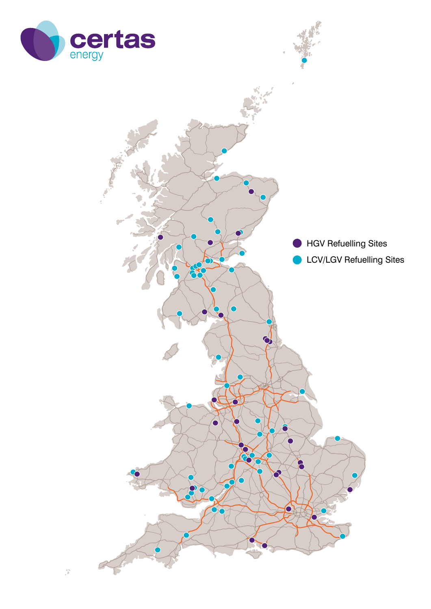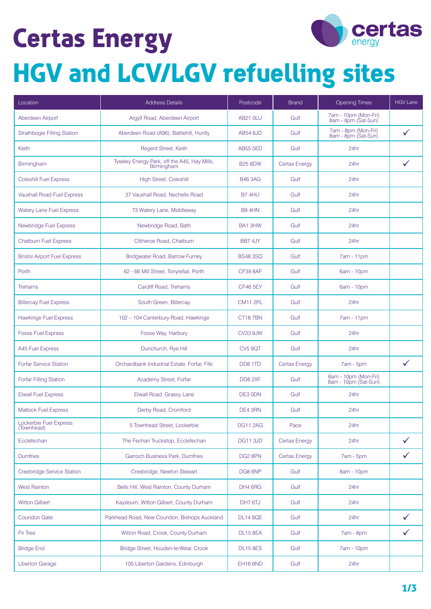## **Certas Energy**



## **HGV and LCV/LGV refuelling sites**

| Location                             | <b>Address Details</b>                                     | Postcode             | <b>Brand</b>         | Opening Times                                | <b>HGV Lane</b> |
|--------------------------------------|------------------------------------------------------------|----------------------|----------------------|----------------------------------------------|-----------------|
| Aberdeen Airport                     | Argyll Road, Aberdeen Airport                              | AB21 OLU             | Gulf                 | 7am - 10pm (Mon-Fri)<br>8am - 8pm (Sat-Sun)  |                 |
| <b>Strathbogie Filling Station</b>   | Aberdeen Road (A96), Battlehill, Huntly                    | <b>AB54 6JD</b>      | Gulf                 | 7am - 8pm (Mon-Fri)<br>8am - 8pm (Sat-Sun)   | $\checkmark$    |
| Keith                                | Regent Street, Keith                                       | <b>AB55 5ED</b>      | Gulf                 | 24hr                                         |                 |
| Birmingham                           | Tyseley Energy Park, off the A45, Hay Mills,<br>Birmingham | <b>B25 8DW</b>       | <b>Certas Energy</b> | 24hr                                         | ✓               |
| <b>Coleshill Fuel Express</b>        | High Street, Coleshill                                     | <b>B46 3AG</b>       | Gulf                 | 24hr                                         |                 |
| <b>Vauxhall Road Fuel Express</b>    | 37 Vauxhall Road, Nechells Road                            | <b>B7 4HU</b>        | Gulf                 | 24hr                                         |                 |
| <b>Watery Lane Fuel Express</b>      | 73 Watery Lane, Middleway                                  | <b>B9 4HN</b>        | Gulf                 | 24hr                                         |                 |
| Newbridge Fuel Express               | Newbridge Road, Bath                                       | BA1 3HW              | Gulf                 | 24hr                                         |                 |
| <b>Chatburn Fuel Express</b>         | Clitheroe Road, Chatburn                                   | BB7 4JY              | Gulf                 | 24hr                                         |                 |
| <b>Bristol Airport Fuel Express</b>  | Bridgwater Road, Barrow Furney                             | <b>BS48 3SQ</b>      | Gulf                 | 7am - 11pm                                   |                 |
| Porth                                | 62 - 66 Mill Street, Tonyrefail, Porth                     | <b>CF39 8AF</b>      | Gulf                 | 6am - 10pm                                   |                 |
| <b>Treharris</b>                     | Cardiff Road, Treharris                                    | <b>CF46 5EY</b>      | Gulf                 | 6am - 10pm                                   |                 |
| <b>Billercay Fuel Express</b>        | South Green, Billercay                                     | <b>CM11 2PL</b>      | Gulf                 | 24hr                                         |                 |
| <b>Hawkinge Fuel Express</b>         | 102 - 104 Canterbury Road, Hawkinge                        | CT <sub>18</sub> 7BN | Gulf                 | 7am - 11pm                                   |                 |
| <b>Fosse Fuel Express</b>            | Fosse Way, Harbury                                         | <b>CV33 9JW</b>      | Gulf                 | 24hr                                         |                 |
| A45 Fuel Express                     | Dunchurch, Rye Hill                                        | CV <sub>5</sub> 9QT  | Gulf                 | 24hr                                         |                 |
| <b>Forfar Service Station</b>        | Orchardbank Industrial Estate, Forfar, Fife                | DD8 1TD              | Certas Energy        | $7am - 5pm$                                  | $\checkmark$    |
| Forfar Filling Station               | Academy Street, Forfar                                     | DD8 2XF              | Gulf                 | 6am - 10pm (Mon-Fri)<br>8am - 10pm (Sat-Sun) |                 |
| <b>Etwall Fuel Express</b>           | Etwall Road, Grassy Lane                                   | DE3 0DN              | Gulf                 | 24hr                                         |                 |
| <b>Matlock Fuel Express</b>          | Derby Road, Cromford                                       | DE4 3RN              | Gulf                 | 24hr                                         |                 |
| Lockerbie Fuel Express<br>(Townhead) | 5 Townhead Street, Lockerbie                               | <b>DG11 2AG</b>      | Pace                 | 24hr                                         |                 |
| Ecclefechan                          | The Fechan Truckstop, Ecclefechan                          | <b>DG11 3JD</b>      | <b>Certas Energy</b> | 24hr                                         | $\checkmark$    |
| <b>Dumfries</b>                      | Garroch Business Park, Dumfries                            | DG2 8PN              | <b>Certas Energy</b> | 7am - 5pm                                    |                 |
| Creebridge Service Station           | Creebridge, Newton Stewart                                 | DG8 6NP              | Gulf                 | 8am - 10pm                                   |                 |
| <b>West Rainton</b>                  | Bells Hill, West Rainton, County Durham                    | DH4 6RG              | Gulf                 | 24hr                                         |                 |
| <b>Witton Gilbert</b>                | Kaysburn, Witton Gilbert, County Durham                    | DH7 6TJ              | Gulf                 | 24hr                                         |                 |
| <b>Coundon Gate</b>                  | Parkhead Road, New Coundon, Bishops Auckland               | <b>DL14 8QE</b>      | Gulf                 | 24hr                                         |                 |
| Fir Tree                             | Witton Road, Crook, County Durham                          | <b>DL15 8EA</b>      | Gulf                 | 7am - 8pm                                    | $\checkmark$    |
| <b>Bridge End</b>                    | Bridge Street, Houden-le-Wear, Crook                       | <b>DL15 8ES</b>      | Gulf                 | 7am - 10pm                                   |                 |
| <b>Liberton Garage</b>               | 105 Liberton Gardens, Edinburgh                            | <b>EH16 6ND</b>      | Gulf                 | 24hr                                         |                 |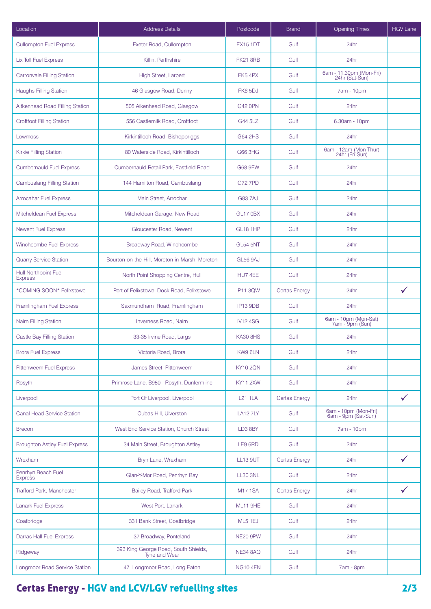| Location                               | <b>Address Details</b>                                | Postcode        | <b>Brand</b>         | <b>Opening Times</b>                        | <b>HGV Lane</b> |
|----------------------------------------|-------------------------------------------------------|-----------------|----------------------|---------------------------------------------|-----------------|
| <b>Cullompton Fuel Express</b>         | Exeter Road, Cullompton                               | <b>EX15 1DT</b> | Gulf                 | 24hr                                        |                 |
| <b>Lix Toll Fuel Express</b>           | Killin, Perthshire                                    | <b>FK21 8RB</b> | Gulf                 | 24hr                                        |                 |
| <b>Carronvale Filling Station</b>      | High Street, Larbert                                  | FK54PX          | Gulf                 | 6am - 11.30pm (Mon-Fri)<br>24hr (Sat-Sun)   |                 |
| <b>Haughs Filling Station</b>          | 46 Glasgow Road, Denny                                | FK65DJ          | Gulf                 | 7am - 10pm                                  |                 |
| Aitkenhead Road Filling Station        | 505 Aikenhead Road, Glasgow                           | <b>G42 0PN</b>  | Gulf                 | 24hr                                        |                 |
| <b>Croftfoot Filling Station</b>       | 556 Castlemilk Road, Croftfoot                        | G44 5LZ         | Gulf                 | 6.30am - 10pm                               |                 |
| Lowmoss                                | Kirkintilloch Road, Bishopbriggs                      | G64 2HS         | Gulf                 | 24hr                                        |                 |
| Kirkie Filling Station                 | 80 Waterside Road, Kirkintilloch                      | G66 3HG         | Gulf                 | 6am - 12am (Mon-Thur)<br>24hr (Fri-Sun)     |                 |
| <b>Cumbernauld Fuel Express</b>        | Cumbernauld Retail Park, Eastfield Road               | <b>G68 9FW</b>  | Gulf                 | 24hr                                        |                 |
| <b>Cambuslang Filling Station</b>      | 144 Hamilton Road, Cambuslang                         | <b>G727PD</b>   | Gulf                 | 24hr                                        |                 |
| <b>Arrocahar Fuel Express</b>          | Main Street, Arrochar                                 | <b>G837AJ</b>   | Gulf                 | 24hr                                        |                 |
| Mitcheldean Fuel Express               | Mitcheldean Garage, New Road                          | <b>GL17 0BX</b> | Gulf                 | 24hr                                        |                 |
| <b>Newent Fuel Express</b>             | Gloucester Road, Newent                               | <b>GL18 1HP</b> | Gulf                 | 24hr                                        |                 |
| Winchcombe Fuel Express                | Broadway Road, Winchcombe                             | <b>GL54 5NT</b> | Gulf                 | 24hr                                        |                 |
| <b>Quarry Service Station</b>          | Bourton-on-the-Hill, Moreton-in-Marsh, Moreton        | <b>GL56 9AJ</b> | Gulf                 | 24hr                                        |                 |
| Hull Northpoint Fuel<br><b>Express</b> | North Point Shopping Centre, Hull                     | HU74EE          | Gulf                 | 24hr                                        |                 |
| *COMING SOON* Felixstowe               | Port of Felixstowe, Dock Road, Felixstowe             | <b>IP11 3QW</b> | Certas Energy        | 24hr                                        | $\checkmark$    |
| Framlingham Fuel Express               | Saxmundham Road, Framlingham                          | <b>IP13 9DB</b> | Gulf                 | 24hr                                        |                 |
| Nairn Filling Station                  | Inverness Road, Nairn                                 | <b>IV124SG</b>  | Gulf                 | 6am - 10pm (Mon-Sat)<br>7am - 9pm (Sun)     |                 |
| Castle Bay Filling Station             | 33-35 Irvine Road, Largs                              | <b>KA30 8HS</b> | Gulf                 | 24hr                                        |                 |
| <b>Brora Fuel Express</b>              | Victoria Road, Brora                                  | KW9 6LN         | Gulf                 | 24hr                                        |                 |
| Pittenweem Fuel Express                | James Street, Pittenweem                              | <b>KY10 2QN</b> | Gulf                 | 24hr                                        |                 |
| Rosyth                                 | Primrose Lane, B980 - Rosyth, Dunfermline             | <b>KY11 2XW</b> | Gulf                 | 24hr                                        |                 |
| Liverpool                              | Port Of Liverpool, Liverpool                          | <b>L21 1LA</b>  | <b>Certas Energy</b> | 24hr                                        | $\checkmark$    |
| <b>Canal Head Service Station</b>      | Oubas Hill, Ulverston                                 | <b>LA12 7LY</b> | Gulf                 | 6am - 10pm (Mon-Fri)<br>6am - 9pm (Sat-Sun) |                 |
| <b>Brecon</b>                          | West End Service Station. Church Street               | LD3 8BY         | Gulf                 | 7am - 10pm                                  |                 |
| <b>Broughton Astley Fuel Express</b>   | 34 Main Street, Broughton Astley                      | LE9 6RD         | Gulf                 | 24hr                                        |                 |
| Wrexham                                | Bryn Lane, Wrexham                                    | <b>LL13 9UT</b> | <b>Certas Energy</b> | 24hr                                        | $\checkmark$    |
| Penrhyn Beach Fuel<br><b>Express</b>   | Glan-Y-Mor Road, Penrhyn Bay                          | <b>LL30 3NL</b> | Gulf                 | 24hr                                        |                 |
| Trafford Park, Manchester              | Bailey Road, Trafford Park                            | <b>M171SA</b>   | <b>Certas Energy</b> | 24hr                                        | ✓               |
| <b>Lanark Fuel Express</b>             | West Port, Lanark                                     | ML11 9HE        | Gulf                 | 24hr                                        |                 |
| Coatbridge                             | 331 Bank Street, Coatbridge                           | ML5 1EJ         | Gulf                 | 24hr                                        |                 |
| Darras Hall Fuel Express               | 37 Broadway, Ponteland                                | <b>NE20 9PW</b> | Gulf                 | 24hr                                        |                 |
| Ridgeway                               | 393 King George Road, South Shields,<br>Tyne and Wear | <b>NE34 8AQ</b> | Gulf                 | 24hr                                        |                 |
| Longmoor Road Service Station          | 47 Longmoor Road, Long Eaton                          | <b>NG10 4FN</b> | Gulf                 | 7am - 8pm                                   |                 |

## **Certas Energy - HGV and LCV/LGV refuelling sites 2/3**